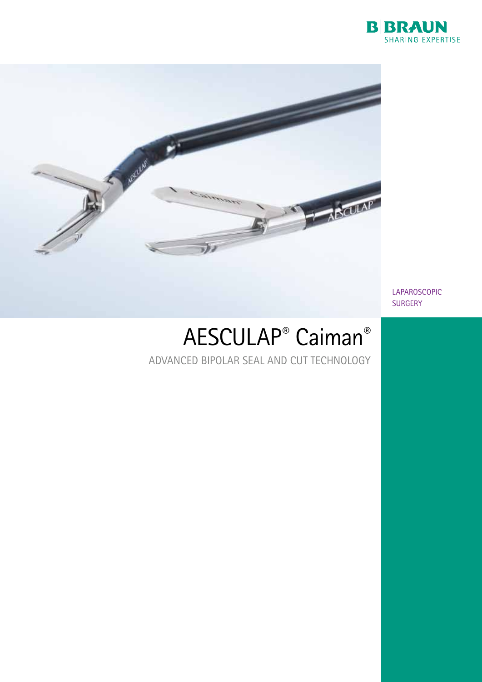



LAPAROSCOPIC SURGERY

# AESCULAP® Caiman®

ADVANCED BIPOLAR SEAL AND CUT TECHNOLOGY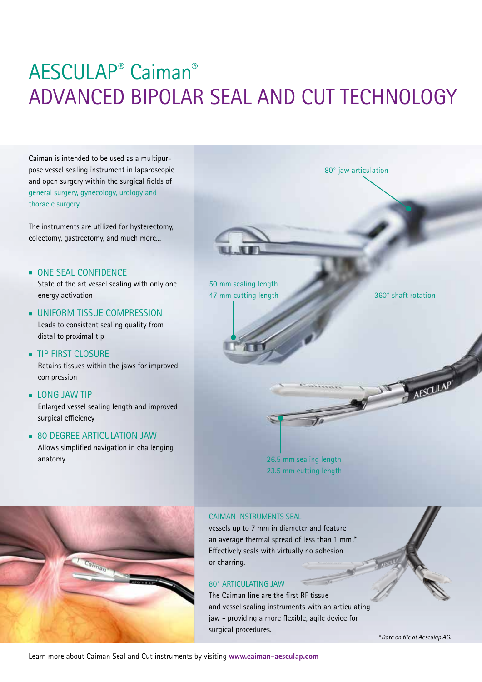# AESCULAP® Caiman® ADVANCED BIPOLAR SEAL AND CUT TECHNOLOGY

Caiman is intended to be used as a multipurpose vessel sealing instrument in laparoscopic and open surgery within the surgical fields of general surgery, gynecology, urology and thoracic surgery.

The instruments are utilized for hysterectomy, colectomy, gastrectomy, and much more...

**NONE SEAL CONFIDENCE** 

State of the art vessel sealing with only one energy activation

- **UNIFORM TISSUE COMPRESSION** Leads to consistent sealing quality from distal to proximal tip
- **n** TIP FIRST CLOSURE Retains tissues within the jaws for improved compression
- **EDNG JAW TIP** Enlarged vessel sealing length and improved surgical efficiency
- **BO DEGREE ARTICULATION JAW** Allows simplified navigation in challenging anatomy





26.5 mm sealing length 23.5 mm cutting length

### CAIMAN INSTRUMENTS SEAL

vessels up to 7 mm in diameter and feature an average thermal spread of less than 1 mm.\* Effectively seals with virtually no adhesion or charring.

# 80° ARTICULATING JAW

The Caiman line are the first RF tissue and vessel sealing instruments with an articulating jaw - providing a more flexible, agile device for surgical procedures.

\**Data on file at Aesculap AG.*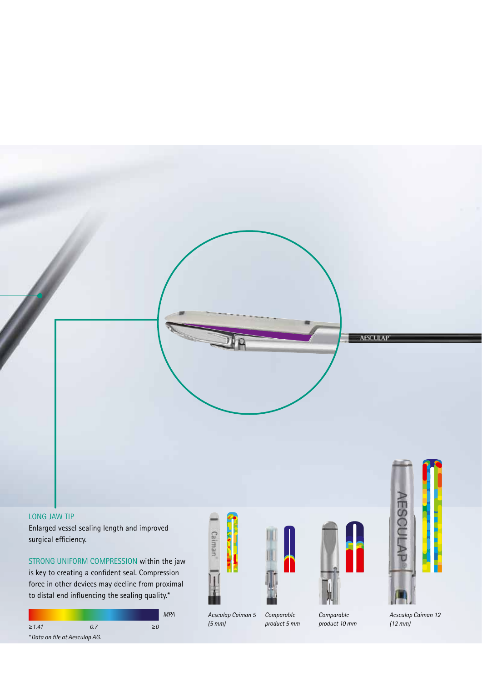

### LONG JAW TIP

Enlarged vessel sealing length and improved surgical efficiency.

STRONG UNIFORM COMPRESSION within the jaw is key to creating a confident seal. Compression force in other devices may decline from proximal to distal end influencing the sealing quality.\*









#### *Aesculap Caiman 5 (5 mm)*

*Comparable product 10 mm Comparable* 



*Aesculap Caiman 12 (12 mm)*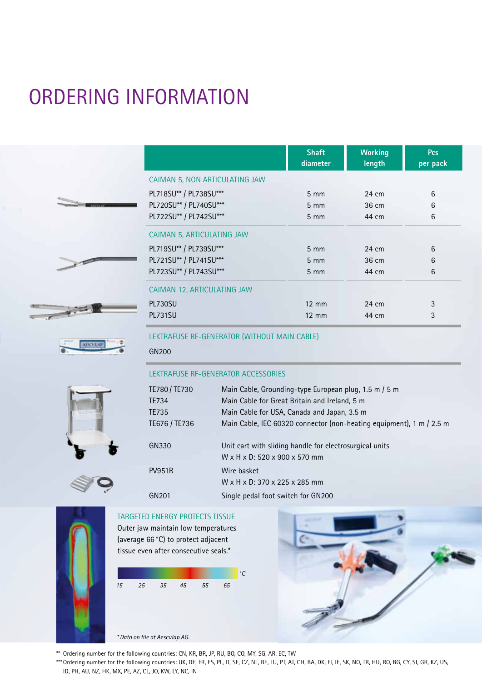# ORDERING INFORMATION

|                                | <b>Shaft</b><br>diameter | <b>Working</b><br>length | <b>Pcs</b><br>per pack |
|--------------------------------|--------------------------|--------------------------|------------------------|
| CAIMAN 5, NON ARTICULATING JAW |                          |                          |                        |
| PL718SU** / PL738SU***         | $5 \, \text{mm}$         | 24 cm                    | 6                      |
| PL720SU** / PL740SU***         | $5 \, \text{mm}$         | 36 cm                    | 6                      |
| PL722SU** / PL742SU***         | $5 \, \text{mm}$         | 44 cm                    | 6                      |
| CAIMAN 5, ARTICULATING JAW     |                          |                          |                        |
| PL719SU** / PL739SU***         | $5 \, \text{mm}$         | 24 cm                    | 6                      |
| PL721SU** / PL741SU***         | $5 \, \text{mm}$         | 36 cm                    | 6                      |
| PL723SU** / PL743SU***         | $5 \, \text{mm}$         | 44 cm                    | 6                      |
| CAIMAN 12, ARTICULATING JAW    |                          |                          |                        |
| PL730SU                        | $12 \text{ mm}$          | 24 cm                    | 3                      |
| <b>PL731SU</b>                 | $12 \text{ mm}$          | 44 cm                    | 3                      |

LEKTRAFUSE RF-GENERATOR (WITHOUT MAIN CABLE)

| ٠<br>1513 | ٠ |  |
|-----------|---|--|
| 81        | ٠ |  |
|           |   |  |
|           |   |  |
|           | - |  |

| LEKTRAFUSE RF-GENERATOR ACCESSORIES |                                                                                          |
|-------------------------------------|------------------------------------------------------------------------------------------|
| TE780/TE730                         | Main Cable, Grounding-type European plug, 1.5 m / 5 m                                    |
| TE734                               | Main Cable for Great Britain and Ireland, 5 m                                            |
| TE735                               | Main Cable for USA, Canada and Japan, 3.5 m                                              |
| TE676 / TE736                       | Main Cable, IEC 60320 connector (non-heating equipment), 1 m / 2.5 m                     |
| GN330                               | Unit cart with sliding handle for electrosurgical units<br>W x H x D: 520 x 900 x 570 mm |
| <b>PV951R</b>                       | Wire basket<br>W x H x D: 370 x 225 x 285 mm                                             |
| GN201                               | Single pedal foot switch for GN200                                                       |

# TARGETED ENERGY PROTECTS TISSUE

GN200

Outer jaw maintain low temperatures (average 66°C) to protect adjacent tissue even after consecutive seals.\*





- \*\* Ordering number for the following countries: CN, KR, BR, JP, RU, BO, CO, MY, SG, AR, EC, TW
- \*\*\*Ordering number for the following countries: UK, DE, FR, ES, PL, IT, SE, CZ, NL, BE, LU, PT, AT, CH, BA, DK, FI, IE, SK, NO, TR, HU, RO, BG, CY, SI, GR, KZ, US, ID, PH, AU, NZ, HK, MX, PE, AZ, CL, JO, KW, LY, NC, IN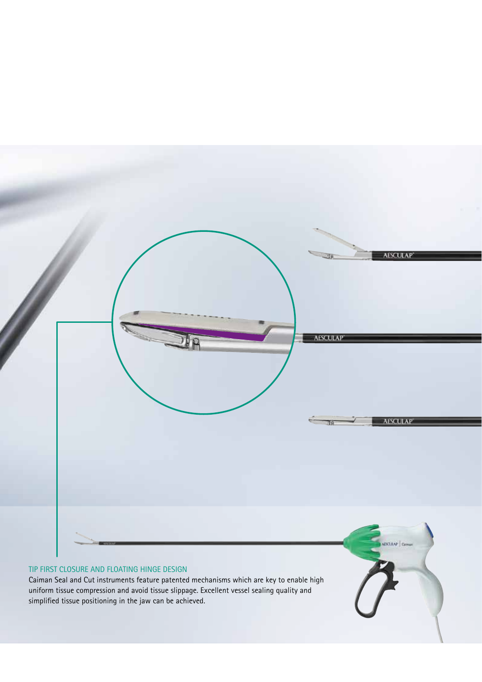

### TIP FIRST CLOSURE AND FLOATING HINGE DESIGN

Caiman Seal and Cut instruments feature patented mechanisms which are key to enable high uniform tissue compression and avoid tissue slippage. Excellent vessel sealing quality and simplified tissue positioning in the jaw can be achieved.